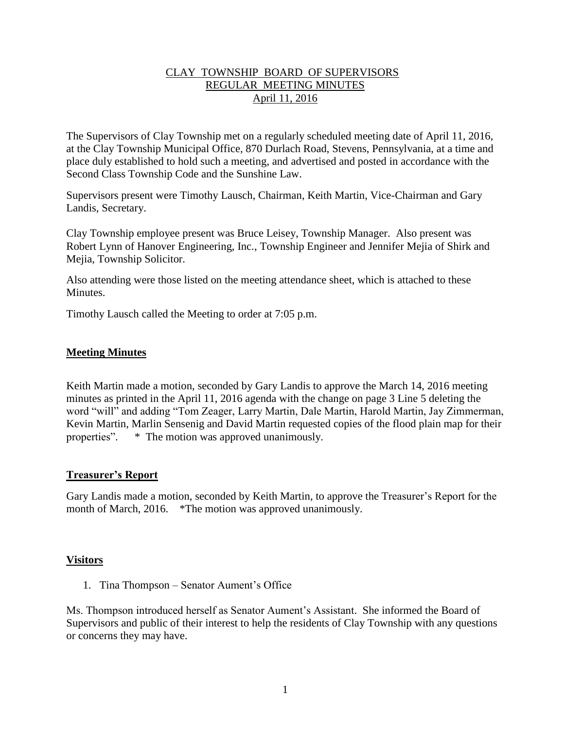## CLAY TOWNSHIP BOARD OF SUPERVISORS REGULAR MEETING MINUTES April 11, 2016

The Supervisors of Clay Township met on a regularly scheduled meeting date of April 11, 2016, at the Clay Township Municipal Office, 870 Durlach Road, Stevens, Pennsylvania, at a time and place duly established to hold such a meeting, and advertised and posted in accordance with the Second Class Township Code and the Sunshine Law.

Supervisors present were Timothy Lausch, Chairman, Keith Martin, Vice-Chairman and Gary Landis, Secretary.

Clay Township employee present was Bruce Leisey, Township Manager. Also present was Robert Lynn of Hanover Engineering, Inc., Township Engineer and Jennifer Mejia of Shirk and Mejia, Township Solicitor.

Also attending were those listed on the meeting attendance sheet, which is attached to these **Minutes** 

Timothy Lausch called the Meeting to order at 7:05 p.m.

### **Meeting Minutes**

Keith Martin made a motion, seconded by Gary Landis to approve the March 14, 2016 meeting minutes as printed in the April 11, 2016 agenda with the change on page 3 Line 5 deleting the word "will" and adding "Tom Zeager, Larry Martin, Dale Martin, Harold Martin, Jay Zimmerman, Kevin Martin, Marlin Sensenig and David Martin requested copies of the flood plain map for their properties". \* The motion was approved unanimously.

### **Treasurer's Report**

Gary Landis made a motion, seconded by Keith Martin, to approve the Treasurer's Report for the month of March, 2016. \*The motion was approved unanimously.

### **Visitors**

1. Tina Thompson – Senator Aument's Office

Ms. Thompson introduced herself as Senator Aument's Assistant. She informed the Board of Supervisors and public of their interest to help the residents of Clay Township with any questions or concerns they may have.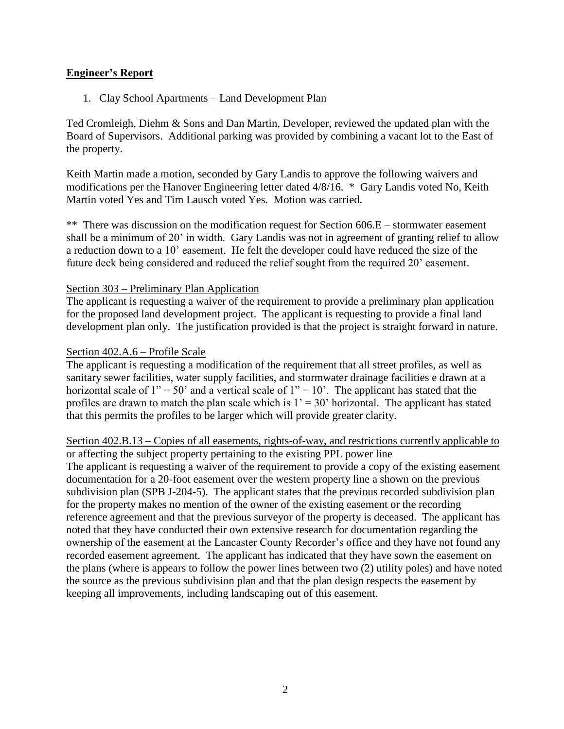## **Engineer's Report**

1. Clay School Apartments – Land Development Plan

Ted Cromleigh, Diehm & Sons and Dan Martin, Developer, reviewed the updated plan with the Board of Supervisors. Additional parking was provided by combining a vacant lot to the East of the property.

Keith Martin made a motion, seconded by Gary Landis to approve the following waivers and modifications per the Hanover Engineering letter dated 4/8/16. \* Gary Landis voted No, Keith Martin voted Yes and Tim Lausch voted Yes. Motion was carried.

\*\* There was discussion on the modification request for Section 606.E – stormwater easement shall be a minimum of 20' in width. Gary Landis was not in agreement of granting relief to allow a reduction down to a 10' easement. He felt the developer could have reduced the size of the future deck being considered and reduced the relief sought from the required 20' easement.

### Section 303 – Preliminary Plan Application

The applicant is requesting a waiver of the requirement to provide a preliminary plan application for the proposed land development project. The applicant is requesting to provide a final land development plan only. The justification provided is that the project is straight forward in nature.

#### Section 402.A.6 – Profile Scale

The applicant is requesting a modification of the requirement that all street profiles, as well as sanitary sewer facilities, water supply facilities, and stormwater drainage facilities e drawn at a horizontal scale of  $1'' = 50'$  and a vertical scale of  $1'' = 10'$ . The applicant has stated that the profiles are drawn to match the plan scale which is  $1' = 30'$  horizontal. The applicant has stated that this permits the profiles to be larger which will provide greater clarity.

#### Section 402.B.13 – Copies of all easements, rights-of-way, and restrictions currently applicable to or affecting the subject property pertaining to the existing PPL power line

The applicant is requesting a waiver of the requirement to provide a copy of the existing easement documentation for a 20-foot easement over the western property line a shown on the previous subdivision plan (SPB J-204-5). The applicant states that the previous recorded subdivision plan for the property makes no mention of the owner of the existing easement or the recording reference agreement and that the previous surveyor of the property is deceased. The applicant has noted that they have conducted their own extensive research for documentation regarding the ownership of the easement at the Lancaster County Recorder's office and they have not found any recorded easement agreement. The applicant has indicated that they have sown the easement on the plans (where is appears to follow the power lines between two (2) utility poles) and have noted the source as the previous subdivision plan and that the plan design respects the easement by keeping all improvements, including landscaping out of this easement.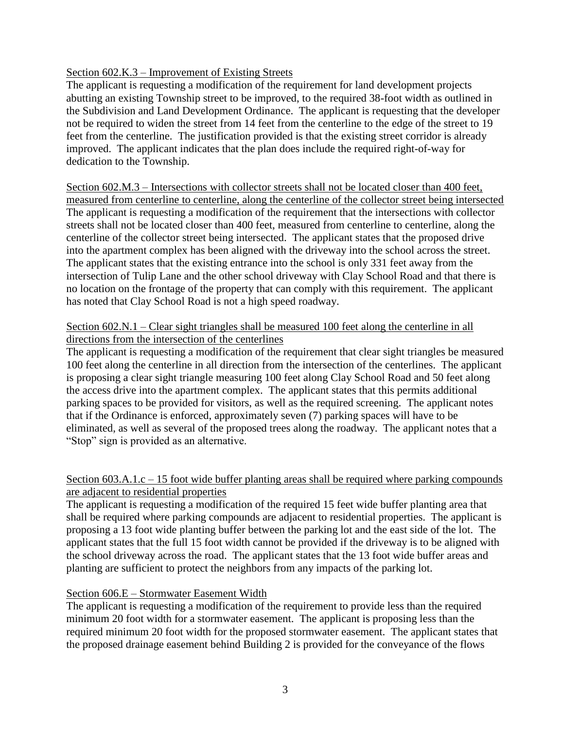### Section 602.K.3 – Improvement of Existing Streets

The applicant is requesting a modification of the requirement for land development projects abutting an existing Township street to be improved, to the required 38-foot width as outlined in the Subdivision and Land Development Ordinance. The applicant is requesting that the developer not be required to widen the street from 14 feet from the centerline to the edge of the street to 19 feet from the centerline. The justification provided is that the existing street corridor is already improved. The applicant indicates that the plan does include the required right-of-way for dedication to the Township.

Section 602.M.3 – Intersections with collector streets shall not be located closer than 400 feet, measured from centerline to centerline, along the centerline of the collector street being intersected The applicant is requesting a modification of the requirement that the intersections with collector streets shall not be located closer than 400 feet, measured from centerline to centerline, along the centerline of the collector street being intersected. The applicant states that the proposed drive into the apartment complex has been aligned with the driveway into the school across the street. The applicant states that the existing entrance into the school is only 331 feet away from the intersection of Tulip Lane and the other school driveway with Clay School Road and that there is no location on the frontage of the property that can comply with this requirement. The applicant has noted that Clay School Road is not a high speed roadway.

## Section 602.N.1 – Clear sight triangles shall be measured 100 feet along the centerline in all directions from the intersection of the centerlines

The applicant is requesting a modification of the requirement that clear sight triangles be measured 100 feet along the centerline in all direction from the intersection of the centerlines. The applicant is proposing a clear sight triangle measuring 100 feet along Clay School Road and 50 feet along the access drive into the apartment complex. The applicant states that this permits additional parking spaces to be provided for visitors, as well as the required screening. The applicant notes that if the Ordinance is enforced, approximately seven (7) parking spaces will have to be eliminated, as well as several of the proposed trees along the roadway. The applicant notes that a "Stop" sign is provided as an alternative.

### Section 603.A.1.c – 15 foot wide buffer planting areas shall be required where parking compounds are adjacent to residential properties

The applicant is requesting a modification of the required 15 feet wide buffer planting area that shall be required where parking compounds are adjacent to residential properties. The applicant is proposing a 13 foot wide planting buffer between the parking lot and the east side of the lot. The applicant states that the full 15 foot width cannot be provided if the driveway is to be aligned with the school driveway across the road. The applicant states that the 13 foot wide buffer areas and planting are sufficient to protect the neighbors from any impacts of the parking lot.

# Section 606.E – Stormwater Easement Width

The applicant is requesting a modification of the requirement to provide less than the required minimum 20 foot width for a stormwater easement. The applicant is proposing less than the required minimum 20 foot width for the proposed stormwater easement. The applicant states that the proposed drainage easement behind Building 2 is provided for the conveyance of the flows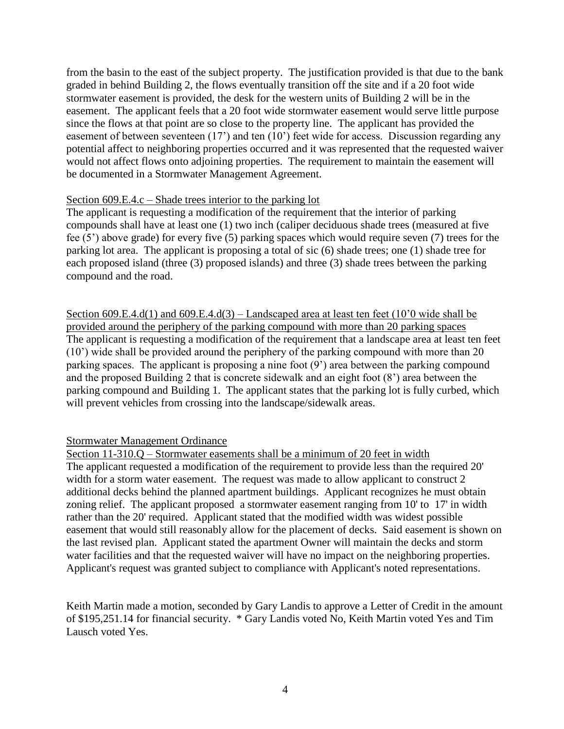from the basin to the east of the subject property. The justification provided is that due to the bank graded in behind Building 2, the flows eventually transition off the site and if a 20 foot wide stormwater easement is provided, the desk for the western units of Building 2 will be in the easement. The applicant feels that a 20 foot wide stormwater easement would serve little purpose since the flows at that point are so close to the property line. The applicant has provided the easement of between seventeen (17') and ten (10') feet wide for access. Discussion regarding any potential affect to neighboring properties occurred and it was represented that the requested waiver would not affect flows onto adjoining properties. The requirement to maintain the easement will be documented in a Stormwater Management Agreement.

### Section 609.E.4.c – Shade trees interior to the parking lot

The applicant is requesting a modification of the requirement that the interior of parking compounds shall have at least one (1) two inch (caliper deciduous shade trees (measured at five fee (5') above grade) for every five (5) parking spaces which would require seven (7) trees for the parking lot area. The applicant is proposing a total of sic (6) shade trees; one (1) shade tree for each proposed island (three (3) proposed islands) and three (3) shade trees between the parking compound and the road.

Section 609.E.4.d(1) and 609.E.4.d(3) – Landscaped area at least ten feet (10'0 wide shall be provided around the periphery of the parking compound with more than 20 parking spaces The applicant is requesting a modification of the requirement that a landscape area at least ten feet (10') wide shall be provided around the periphery of the parking compound with more than 20 parking spaces. The applicant is proposing a nine foot (9') area between the parking compound and the proposed Building 2 that is concrete sidewalk and an eight foot (8') area between the parking compound and Building 1. The applicant states that the parking lot is fully curbed, which will prevent vehicles from crossing into the landscape/sidewalk areas.

### Stormwater Management Ordinance

Section 11-310.Q – Stormwater easements shall be a minimum of 20 feet in width The applicant requested a modification of the requirement to provide less than the required 20' width for a storm water easement. The request was made to allow applicant to construct 2 additional decks behind the planned apartment buildings. Applicant recognizes he must obtain zoning relief. The applicant proposed a stormwater easement ranging from 10' to 17' in width rather than the 20' required. Applicant stated that the modified width was widest possible easement that would still reasonably allow for the placement of decks. Said easement is shown on the last revised plan. Applicant stated the apartment Owner will maintain the decks and storm water facilities and that the requested waiver will have no impact on the neighboring properties. Applicant's request was granted subject to compliance with Applicant's noted representations.

Keith Martin made a motion, seconded by Gary Landis to approve a Letter of Credit in the amount of \$195,251.14 for financial security. \* Gary Landis voted No, Keith Martin voted Yes and Tim Lausch voted Yes.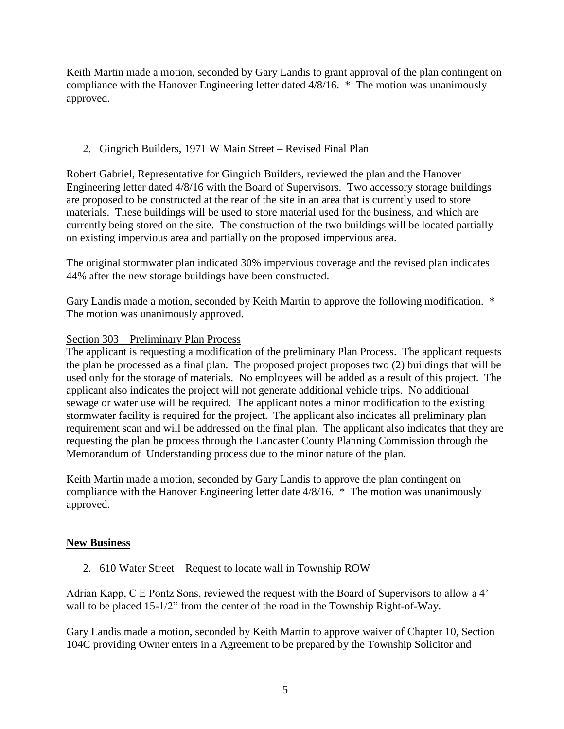Keith Martin made a motion, seconded by Gary Landis to grant approval of the plan contingent on compliance with the Hanover Engineering letter dated 4/8/16. \* The motion was unanimously approved.

# 2. Gingrich Builders, 1971 W Main Street – Revised Final Plan

Robert Gabriel, Representative for Gingrich Builders, reviewed the plan and the Hanover Engineering letter dated 4/8/16 with the Board of Supervisors. Two accessory storage buildings are proposed to be constructed at the rear of the site in an area that is currently used to store materials. These buildings will be used to store material used for the business, and which are currently being stored on the site. The construction of the two buildings will be located partially on existing impervious area and partially on the proposed impervious area.

The original stormwater plan indicated 30% impervious coverage and the revised plan indicates 44% after the new storage buildings have been constructed.

Gary Landis made a motion, seconded by Keith Martin to approve the following modification. \* The motion was unanimously approved.

# Section 303 – Preliminary Plan Process

The applicant is requesting a modification of the preliminary Plan Process. The applicant requests the plan be processed as a final plan. The proposed project proposes two (2) buildings that will be used only for the storage of materials. No employees will be added as a result of this project. The applicant also indicates the project will not generate additional vehicle trips. No additional sewage or water use will be required. The applicant notes a minor modification to the existing stormwater facility is required for the project. The applicant also indicates all preliminary plan requirement scan and will be addressed on the final plan. The applicant also indicates that they are requesting the plan be process through the Lancaster County Planning Commission through the Memorandum of Understanding process due to the minor nature of the plan.

Keith Martin made a motion, seconded by Gary Landis to approve the plan contingent on compliance with the Hanover Engineering letter date 4/8/16. \* The motion was unanimously approved.

# **New Business**

2. 610 Water Street – Request to locate wall in Township ROW

Adrian Kapp, C E Pontz Sons, reviewed the request with the Board of Supervisors to allow a 4' wall to be placed 15-1/2" from the center of the road in the Township Right-of-Way.

Gary Landis made a motion, seconded by Keith Martin to approve waiver of Chapter 10, Section 104C providing Owner enters in a Agreement to be prepared by the Township Solicitor and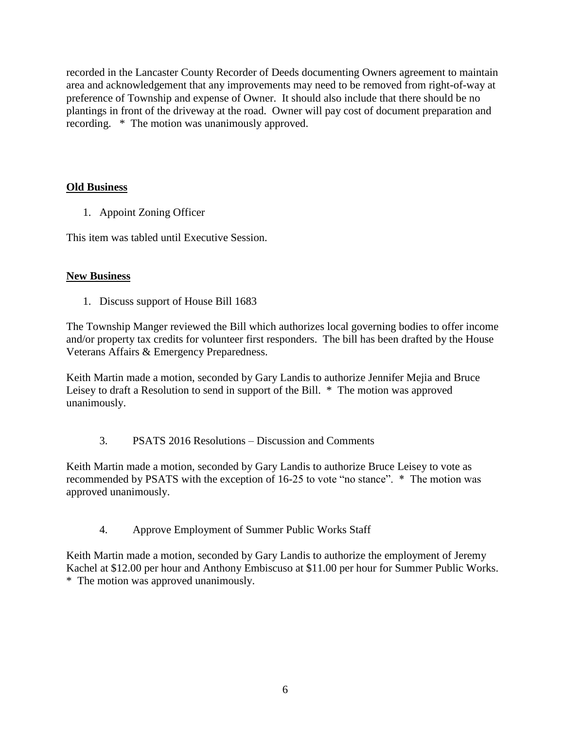recorded in the Lancaster County Recorder of Deeds documenting Owners agreement to maintain area and acknowledgement that any improvements may need to be removed from right-of-way at preference of Township and expense of Owner. It should also include that there should be no plantings in front of the driveway at the road. Owner will pay cost of document preparation and recording. \* The motion was unanimously approved.

# **Old Business**

1. Appoint Zoning Officer

This item was tabled until Executive Session.

# **New Business**

1. Discuss support of House Bill 1683

The Township Manger reviewed the Bill which authorizes local governing bodies to offer income and/or property tax credits for volunteer first responders. The bill has been drafted by the House Veterans Affairs & Emergency Preparedness.

Keith Martin made a motion, seconded by Gary Landis to authorize Jennifer Mejia and Bruce Leisey to draft a Resolution to send in support of the Bill. \* The motion was approved unanimously.

# 3. PSATS 2016 Resolutions – Discussion and Comments

Keith Martin made a motion, seconded by Gary Landis to authorize Bruce Leisey to vote as recommended by PSATS with the exception of 16-25 to vote "no stance". \* The motion was approved unanimously.

4. Approve Employment of Summer Public Works Staff

Keith Martin made a motion, seconded by Gary Landis to authorize the employment of Jeremy Kachel at \$12.00 per hour and Anthony Embiscuso at \$11.00 per hour for Summer Public Works. \* The motion was approved unanimously.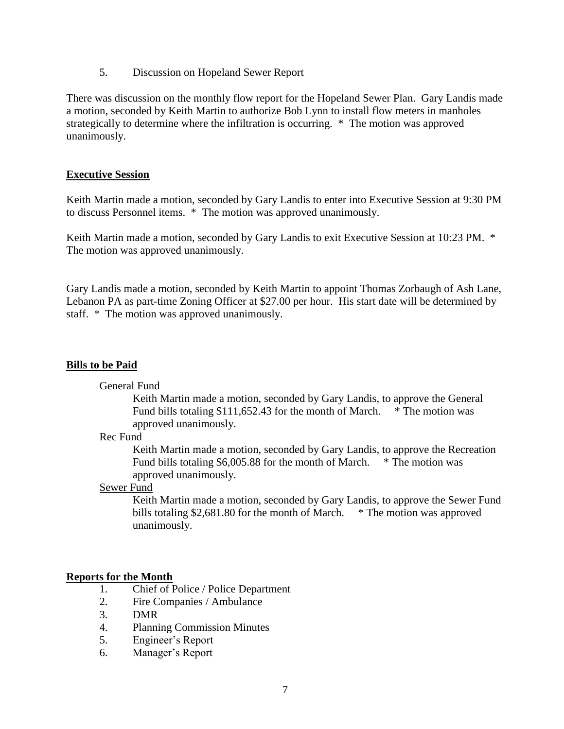5. Discussion on Hopeland Sewer Report

There was discussion on the monthly flow report for the Hopeland Sewer Plan. Gary Landis made a motion, seconded by Keith Martin to authorize Bob Lynn to install flow meters in manholes strategically to determine where the infiltration is occurring. \* The motion was approved unanimously.

### **Executive Session**

Keith Martin made a motion, seconded by Gary Landis to enter into Executive Session at 9:30 PM to discuss Personnel items. \* The motion was approved unanimously.

Keith Martin made a motion, seconded by Gary Landis to exit Executive Session at 10:23 PM. \* The motion was approved unanimously.

Gary Landis made a motion, seconded by Keith Martin to appoint Thomas Zorbaugh of Ash Lane, Lebanon PA as part-time Zoning Officer at \$27.00 per hour. His start date will be determined by staff. \* The motion was approved unanimously.

### **Bills to be Paid**

### General Fund

Keith Martin made a motion, seconded by Gary Landis, to approve the General Fund bills totaling \$111,652.43 for the month of March. \* The motion was approved unanimously.

#### Rec Fund

Keith Martin made a motion, seconded by Gary Landis, to approve the Recreation Fund bills totaling \$6,005.88 for the month of March. \* The motion was approved unanimously.

#### Sewer Fund

Keith Martin made a motion, seconded by Gary Landis, to approve the Sewer Fund bills totaling \$2,681.80 for the month of March. \* The motion was approved unanimously.

### **Reports for the Month**

- 1. Chief of Police / Police Department
- 2. Fire Companies / Ambulance
- 3. DMR
- 4. Planning Commission Minutes
- 5. Engineer's Report
- 6. Manager's Report